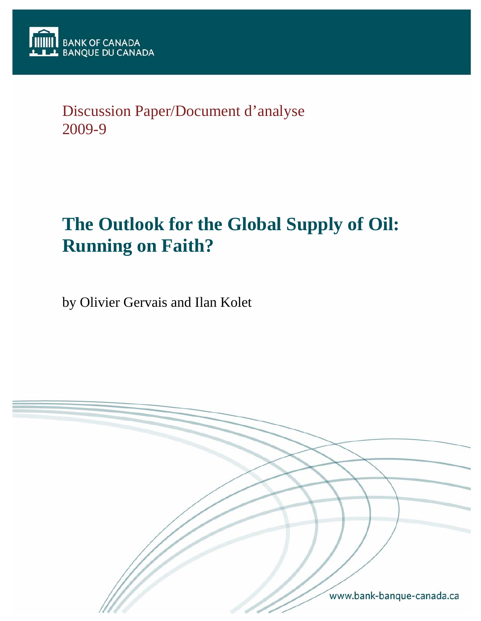# Discussion Paper/Document d'analyse 2009-9

# **The Outlook for the Global Supply of Oil: Running on Faith?**

by Olivier Gervais and Ilan Kolet

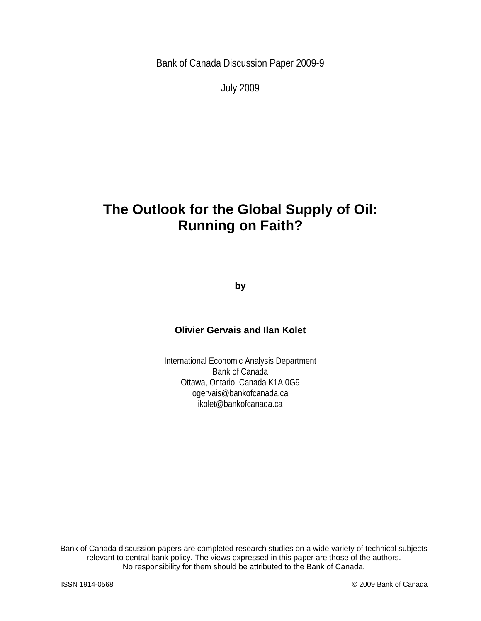Bank of Canada Discussion Paper 2009-9

July 2009

# **The Outlook for the Global Supply of Oil: Running on Faith?**

**by** 

#### **Olivier Gervais and Ilan Kolet**

International Economic Analysis Department Bank of Canada Ottawa, Ontario, Canada K1A 0G9 ogervais@bankofcanada.ca ikolet@bankofcanada.ca

Bank of Canada discussion papers are completed research studies on a wide variety of technical subjects relevant to central bank policy. The views expressed in this paper are those of the authors. No responsibility for them should be attributed to the Bank of Canada.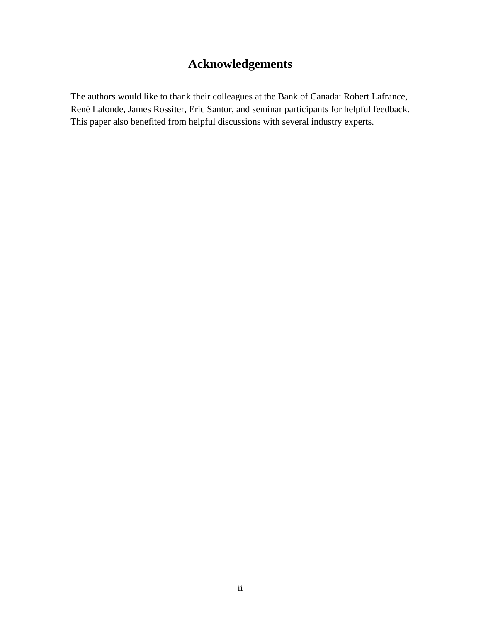# **Acknowledgements**

The authors would like to thank their colleagues at the Bank of Canada: Robert Lafrance, René Lalonde, James Rossiter, Eric Santor, and seminar participants for helpful feedback. This paper also benefited from helpful discussions with several industry experts.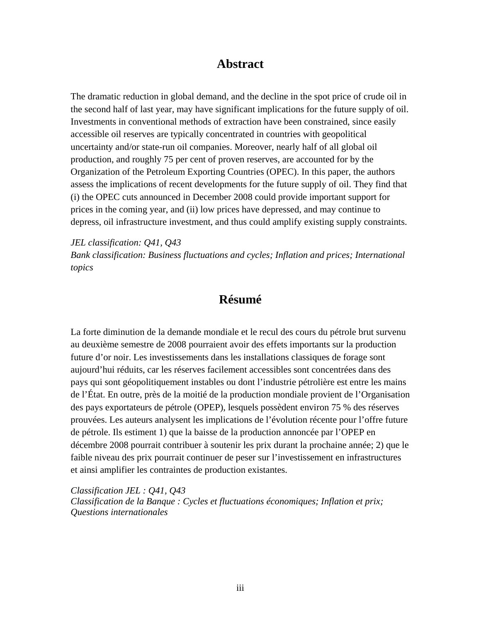### **Abstract**

The dramatic reduction in global demand, and the decline in the spot price of crude oil in the second half of last year, may have significant implications for the future supply of oil. Investments in conventional methods of extraction have been constrained, since easily accessible oil reserves are typically concentrated in countries with geopolitical uncertainty and/or state-run oil companies. Moreover, nearly half of all global oil production, and roughly 75 per cent of proven reserves, are accounted for by the Organization of the Petroleum Exporting Countries (OPEC). In this paper, the authors assess the implications of recent developments for the future supply of oil. They find that (i) the OPEC cuts announced in December 2008 could provide important support for prices in the coming year, and (ii) low prices have depressed, and may continue to depress, oil infrastructure investment, and thus could amplify existing supply constraints.

*JEL classification: Q41, Q43 Bank classification: Business fluctuations and cycles; Inflation and prices; International topics* 

### **Résumé**

La forte diminution de la demande mondiale et le recul des cours du pétrole brut survenu au deuxième semestre de 2008 pourraient avoir des effets importants sur la production future d'or noir. Les investissements dans les installations classiques de forage sont aujourd'hui réduits, car les réserves facilement accessibles sont concentrées dans des pays qui sont géopolitiquement instables ou dont l'industrie pétrolière est entre les mains de l'État. En outre, près de la moitié de la production mondiale provient de l'Organisation des pays exportateurs de pétrole (OPEP), lesquels possèdent environ 75 % des réserves prouvées. Les auteurs analysent les implications de l'évolution récente pour l'offre future de pétrole. Ils estiment 1) que la baisse de la production annoncée par l'OPEP en décembre 2008 pourrait contribuer à soutenir les prix durant la prochaine année; 2) que le faible niveau des prix pourrait continuer de peser sur l'investissement en infrastructures et ainsi amplifier les contraintes de production existantes.

*Classification JEL : Q41, Q43 Classification de la Banque : Cycles et fluctuations économiques; Inflation et prix; Questions internationales*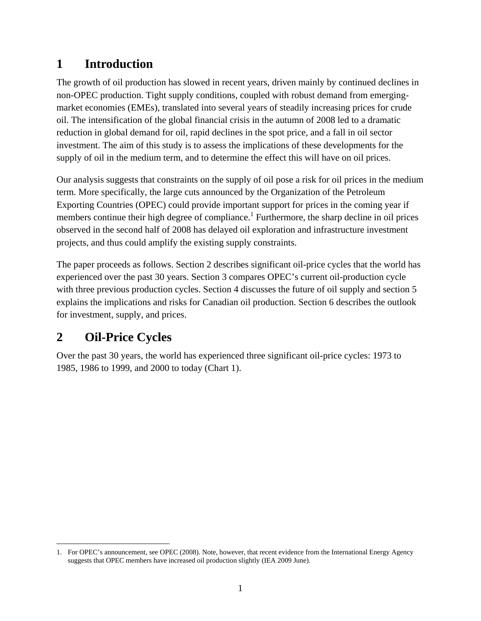# **1 Introduction**

The growth of oil production has slowed in recent years, driven mainly by continued declines in non-OPEC production. Tight supply conditions, coupled with robust demand from emergingmarket economies (EMEs), translated into several years of steadily increasing prices for crude oil. The intensification of the global financial crisis in the autumn of 2008 led to a dramatic reduction in global demand for oil, rapid declines in the spot price, and a fall in oil sector investment. The aim of this study is to assess the implications of these developments for the supply of oil in the medium term, and to determine the effect this will have on oil prices.

Our analysis suggests that constraints on the supply of oil pose a risk for oil prices in the medium term. More specifically, the large cuts announced by the Organization of the Petroleum Exporting Countries (OPEC) could provide important support for prices in the coming year if members continue their high degree of compliance.<sup>1</sup> Furthermore, the sharp decline in oil prices observed in the second half of 2008 has delayed oil exploration and infrastructure investment projects, and thus could amplify the existing supply constraints.

The paper proceeds as follows. Section 2 describes significant oil-price cycles that the world has experienced over the past 30 years. Section 3 compares OPEC's current oil-production cycle with three previous production cycles. Section 4 discusses the future of oil supply and section 5 explains the implications and risks for Canadian oil production. Section 6 describes the outlook for investment, supply, and prices.

# **2 Oil-Price Cycles**

Over the past 30 years, the world has experienced three significant oil-price cycles: 1973 to 1985, 1986 to 1999, and 2000 to today (Chart 1).

 $\overline{a}$ 1. For OPEC's announcement, see OPEC (2008). Note, however, that recent evidence from the International Energy Agency suggests that OPEC members have increased oil production slightly (IEA 2009 June).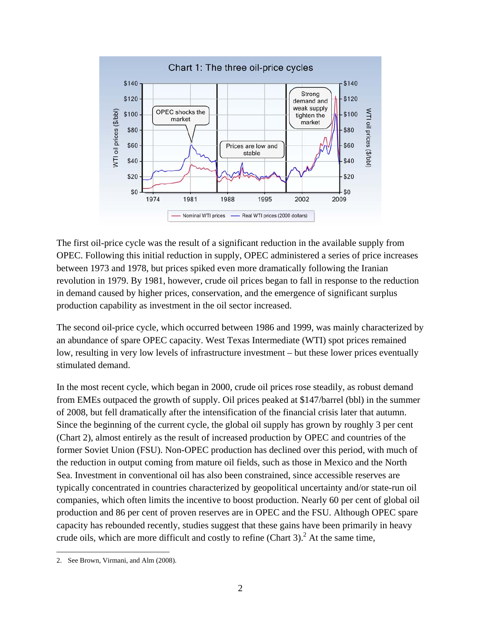

The first oil-price cycle was the result of a significant reduction in the available supply from OPEC. Following this initial reduction in supply, OPEC administered a series of price increases between 1973 and 1978, but prices spiked even more dramatically following the Iranian revolution in 1979. By 1981, however, crude oil prices began to fall in response to the reduction in demand caused by higher prices, conservation, and the emergence of significant surplus production capability as investment in the oil sector increased.

The second oil-price cycle, which occurred between 1986 and 1999, was mainly characterized by an abundance of spare OPEC capacity. West Texas Intermediate (WTI) spot prices remained low, resulting in very low levels of infrastructure investment – but these lower prices eventually stimulated demand.

In the most recent cycle, which began in 2000, crude oil prices rose steadily, as robust demand from EMEs outpaced the growth of supply. Oil prices peaked at \$147/barrel (bbl) in the summer of 2008, but fell dramatically after the intensification of the financial crisis later that autumn. Since the beginning of the current cycle, the global oil supply has grown by roughly 3 per cent (Chart 2), almost entirely as the result of increased production by OPEC and countries of the former Soviet Union (FSU). Non-OPEC production has declined over this period, with much of the reduction in output coming from mature oil fields, such as those in Mexico and the North Sea. Investment in conventional oil has also been constrained, since accessible reserves are typically concentrated in countries characterized by geopolitical uncertainty and/or state-run oil companies, which often limits the incentive to boost production. Nearly 60 per cent of global oil production and 86 per cent of proven reserves are in OPEC and the FSU. Although OPEC spare capacity has rebounded recently, studies suggest that these gains have been primarily in heavy crude oils, which are more difficult and costly to refine (Chart 3).<sup>2</sup> At the same time,

 $\overline{a}$ 2. See Brown, Virmani, and Alm (2008).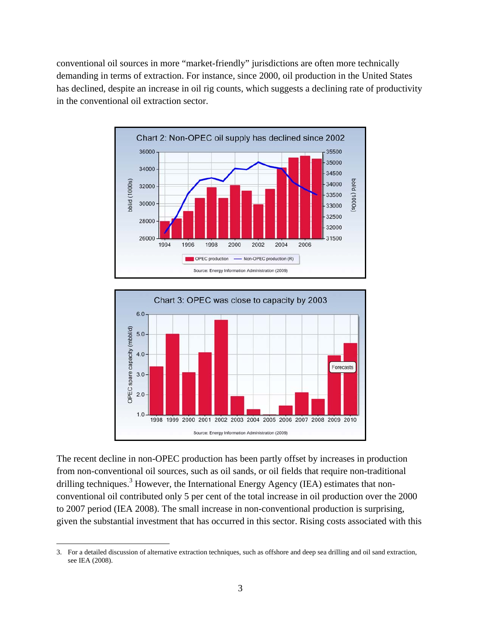conventional oil sources in more "market-friendly" jurisdictions are often more technically demanding in terms of extraction. For instance, since 2000, oil production in the United States has declined, despite an increase in oil rig counts, which suggests a declining rate of productivity in the conventional oil extraction sector.





The recent decline in non-OPEC production has been partly offset by increases in production from non-conventional oil sources, such as oil sands, or oil fields that require non-traditional drilling techniques.<sup>3</sup> However, the International Energy Agency (IEA) estimates that nonconventional oil contributed only 5 per cent of the total increase in oil production over the 2000 to 2007 period (IEA 2008). The small increase in non-conventional production is surprising, given the substantial investment that has occurred in this sector. Rising costs associated with this

 $\overline{a}$ 

<sup>3.</sup> For a detailed discussion of alternative extraction techniques, such as offshore and deep sea drilling and oil sand extraction, see IEA (2008).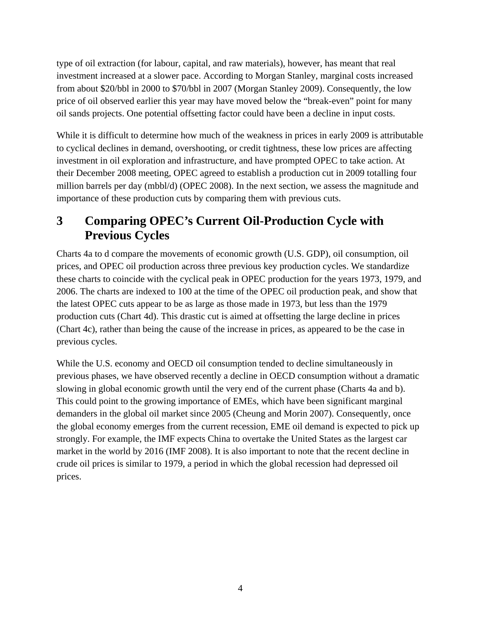type of oil extraction (for labour, capital, and raw materials), however, has meant that real investment increased at a slower pace. According to Morgan Stanley, marginal costs increased from about \$20/bbl in 2000 to \$70/bbl in 2007 (Morgan Stanley 2009). Consequently, the low price of oil observed earlier this year may have moved below the "break-even" point for many oil sands projects. One potential offsetting factor could have been a decline in input costs.

While it is difficult to determine how much of the weakness in prices in early 2009 is attributable to cyclical declines in demand, overshooting, or credit tightness, these low prices are affecting investment in oil exploration and infrastructure, and have prompted OPEC to take action. At their December 2008 meeting, OPEC agreed to establish a production cut in 2009 totalling four million barrels per day (mbbl/d) (OPEC 2008). In the next section, we assess the magnitude and importance of these production cuts by comparing them with previous cuts.

### **3 Comparing OPEC's Current Oil-Production Cycle with Previous Cycles**

Charts 4a to d compare the movements of economic growth (U.S. GDP), oil consumption, oil prices, and OPEC oil production across three previous key production cycles. We standardize these charts to coincide with the cyclical peak in OPEC production for the years 1973, 1979, and 2006. The charts are indexed to 100 at the time of the OPEC oil production peak, and show that the latest OPEC cuts appear to be as large as those made in 1973, but less than the 1979 production cuts (Chart 4d). This drastic cut is aimed at offsetting the large decline in prices (Chart 4c), rather than being the cause of the increase in prices, as appeared to be the case in previous cycles.

While the U.S. economy and OECD oil consumption tended to decline simultaneously in previous phases, we have observed recently a decline in OECD consumption without a dramatic slowing in global economic growth until the very end of the current phase (Charts 4a and b). This could point to the growing importance of EMEs, which have been significant marginal demanders in the global oil market since 2005 (Cheung and Morin 2007). Consequently, once the global economy emerges from the current recession, EME oil demand is expected to pick up strongly. For example, the IMF expects China to overtake the United States as the largest car market in the world by 2016 (IMF 2008). It is also important to note that the recent decline in crude oil prices is similar to 1979, a period in which the global recession had depressed oil prices.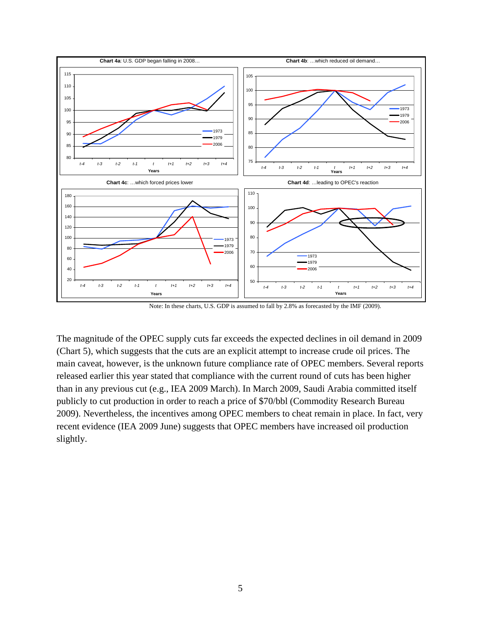

Note: In these charts, U.S. GDP is assumed to fall by 2.8% as forecasted by the IMF (2009).

The magnitude of the OPEC supply cuts far exceeds the expected declines in oil demand in 2009 (Chart 5), which suggests that the cuts are an explicit attempt to increase crude oil prices. The main caveat, however, is the unknown future compliance rate of OPEC members. Several reports released earlier this year stated that compliance with the current round of cuts has been higher than in any previous cut (e.g., IEA 2009 March). In March 2009, Saudi Arabia committed itself publicly to cut production in order to reach a price of \$70/bbl (Commodity Research Bureau 2009). Nevertheless, the incentives among OPEC members to cheat remain in place. In fact, very recent evidence (IEA 2009 June) suggests that OPEC members have increased oil production slightly.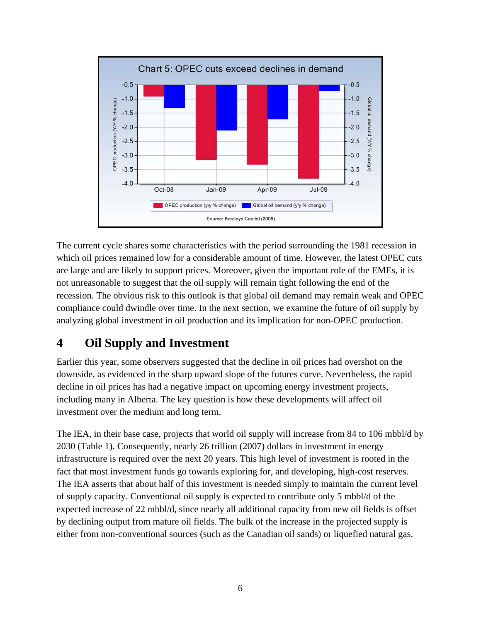

The current cycle shares some characteristics with the period surrounding the 1981 recession in which oil prices remained low for a considerable amount of time. However, the latest OPEC cuts are large and are likely to support prices. Moreover, given the important role of the EMEs, it is not unreasonable to suggest that the oil supply will remain tight following the end of the recession. The obvious risk to this outlook is that global oil demand may remain weak and OPEC compliance could dwindle over time. In the next section, we examine the future of oil supply by analyzing global investment in oil production and its implication for non-OPEC production.

# **4 Oil Supply and Investment**

Earlier this year, some observers suggested that the decline in oil prices had overshot on the downside, as evidenced in the sharp upward slope of the futures curve. Nevertheless, the rapid decline in oil prices has had a negative impact on upcoming energy investment projects, including many in Alberta. The key question is how these developments will affect oil investment over the medium and long term.

The IEA, in their base case, projects that world oil supply will increase from 84 to 106 mbbl/d by 2030 (Table 1). Consequently, nearly 26 trillion (2007) dollars in investment in energy infrastructure is required over the next 20 years. This high level of investment is rooted in the fact that most investment funds go towards exploring for, and developing, high-cost reserves. The IEA asserts that about half of this investment is needed simply to maintain the current level of supply capacity. Conventional oil supply is expected to contribute only 5 mbbl/d of the expected increase of 22 mbbl/d, since nearly all additional capacity from new oil fields is offset by declining output from mature oil fields. The bulk of the increase in the projected supply is either from non-conventional sources (such as the Canadian oil sands) or liquefied natural gas.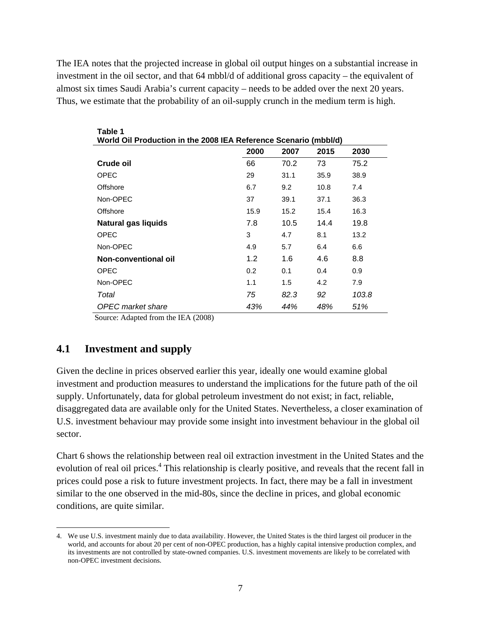The IEA notes that the projected increase in global oil output hinges on a substantial increase in investment in the oil sector, and that 64 mbbl/d of additional gross capacity – the equivalent of almost six times Saudi Arabia's current capacity – needs to be added over the next 20 years. Thus, we estimate that the probability of an oil-supply crunch in the medium term is high.

| World Oil Production in the 2008 IEA Reference Scenario (mbbl/d) |      |      |      |       |
|------------------------------------------------------------------|------|------|------|-------|
|                                                                  | 2000 | 2007 | 2015 | 2030  |
| Crude oil                                                        | 66   | 70.2 | 73   | 75.2  |
| <b>OPEC</b>                                                      | 29   | 31.1 | 35.9 | 38.9  |
| Offshore                                                         | 6.7  | 9.2  | 10.8 | 7.4   |
| Non-OPEC                                                         | 37   | 39.1 | 37.1 | 36.3  |
| Offshore                                                         | 15.9 | 15.2 | 15.4 | 16.3  |
| <b>Natural gas liquids</b>                                       | 7.8  | 10.5 | 14.4 | 19.8  |
| <b>OPEC</b>                                                      | 3    | 4.7  | 8.1  | 13.2  |
| Non-OPEC                                                         | 4.9  | 5.7  | 6.4  | 6.6   |
| Non-conventional oil                                             | 1.2  | 1.6  | 4.6  | 8.8   |
| <b>OPEC</b>                                                      | 0.2  | 0.1  | 0.4  | 0.9   |
| Non-OPEC                                                         | 1.1  | 1.5  | 4.2  | 7.9   |
| Total                                                            | 75   | 82.3 | 92   | 103.8 |
| <b>OPEC</b> market share                                         | 43%  | 44%  | 48%  | 51%   |

Source: Adapted from the IEA (2008)

#### **4.1 Investment and supply**

 $\overline{a}$ 

**Table 1** 

Given the decline in prices observed earlier this year, ideally one would examine global investment and production measures to understand the implications for the future path of the oil supply. Unfortunately, data for global petroleum investment do not exist; in fact, reliable, disaggregated data are available only for the United States. Nevertheless, a closer examination of U.S. investment behaviour may provide some insight into investment behaviour in the global oil sector.

Chart 6 shows the relationship between real oil extraction investment in the United States and the evolution of real oil prices.<sup>4</sup> This relationship is clearly positive, and reveals that the recent fall in prices could pose a risk to future investment projects. In fact, there may be a fall in investment similar to the one observed in the mid-80s, since the decline in prices, and global economic conditions, are quite similar.

<sup>4.</sup> We use U.S. investment mainly due to data availability. However, the United States is the third largest oil producer in the world, and accounts for about 20 per cent of non-OPEC production, has a highly capital intensive production complex, and its investments are not controlled by state-owned companies. U.S. investment movements are likely to be correlated with non-OPEC investment decisions.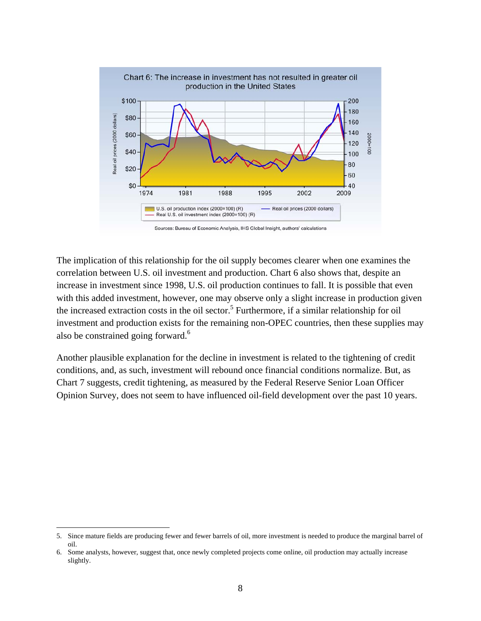

The implication of this relationship for the oil supply becomes clearer when one examines the correlation between U.S. oil investment and production. Chart 6 also shows that, despite an increase in investment since 1998, U.S. oil production continues to fall. It is possible that even with this added investment, however, one may observe only a slight increase in production given the increased extraction costs in the oil sector.<sup>5</sup> Furthermore, if a similar relationship for oil investment and production exists for the remaining non-OPEC countries, then these supplies may also be constrained going forward.<sup>6</sup>

Another plausible explanation for the decline in investment is related to the tightening of credit conditions, and, as such, investment will rebound once financial conditions normalize. But, as Chart 7 suggests, credit tightening, as measured by the Federal Reserve Senior Loan Officer Opinion Survey, does not seem to have influenced oil-field development over the past 10 years.

1

<sup>5.</sup> Since mature fields are producing fewer and fewer barrels of oil, more investment is needed to produce the marginal barrel of oil.

<sup>6.</sup> Some analysts, however, suggest that, once newly completed projects come online, oil production may actually increase slightly.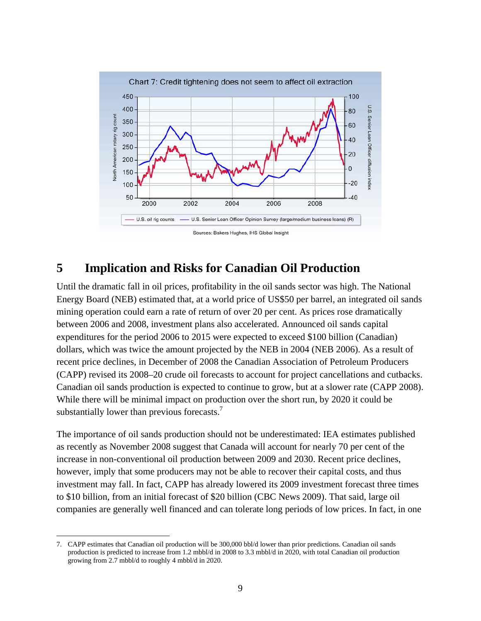

### **5 Implication and Risks for Canadian Oil Production**

Until the dramatic fall in oil prices, profitability in the oil sands sector was high. The National Energy Board (NEB) estimated that, at a world price of US\$50 per barrel, an integrated oil sands mining operation could earn a rate of return of over 20 per cent. As prices rose dramatically between 2006 and 2008, investment plans also accelerated. Announced oil sands capital expenditures for the period 2006 to 2015 were expected to exceed \$100 billion (Canadian) dollars, which was twice the amount projected by the NEB in 2004 (NEB 2006). As a result of recent price declines, in December of 2008 the Canadian Association of Petroleum Producers (CAPP) revised its 2008–20 crude oil forecasts to account for project cancellations and cutbacks. Canadian oil sands production is expected to continue to grow, but at a slower rate (CAPP 2008). While there will be minimal impact on production over the short run, by 2020 it could be substantially lower than previous forecasts.<sup>7</sup>

The importance of oil sands production should not be underestimated: IEA estimates published as recently as November 2008 suggest that Canada will account for nearly 70 per cent of the increase in non-conventional oil production between 2009 and 2030. Recent price declines, however, imply that some producers may not be able to recover their capital costs, and thus investment may fall. In fact, CAPP has already lowered its 2009 investment forecast three times to \$10 billion, from an initial forecast of \$20 billion (CBC News 2009). That said, large oil companies are generally well financed and can tolerate long periods of low prices. In fact, in one

<u>.</u>

<sup>7.</sup> CAPP estimates that Canadian oil production will be 300,000 bbl/d lower than prior predictions. Canadian oil sands production is predicted to increase from 1.2 mbbl/d in 2008 to 3.3 mbbl/d in 2020, with total Canadian oil production growing from 2.7 mbbl/d to roughly 4 mbbl/d in 2020.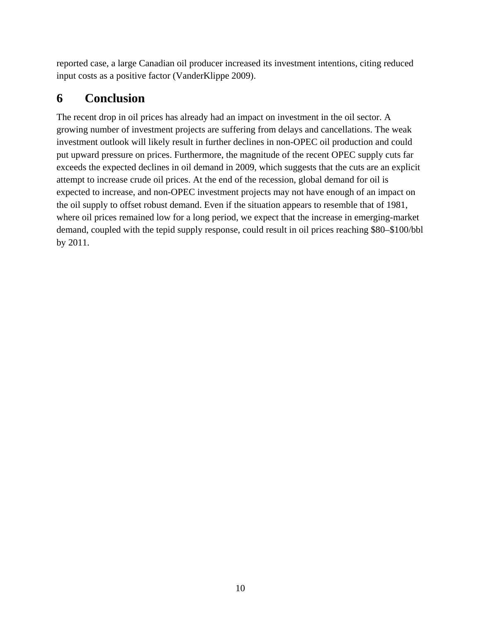reported case, a large Canadian oil producer increased its investment intentions, citing reduced input costs as a positive factor (VanderKlippe 2009).

# **6 Conclusion**

The recent drop in oil prices has already had an impact on investment in the oil sector. A growing number of investment projects are suffering from delays and cancellations. The weak investment outlook will likely result in further declines in non-OPEC oil production and could put upward pressure on prices. Furthermore, the magnitude of the recent OPEC supply cuts far exceeds the expected declines in oil demand in 2009, which suggests that the cuts are an explicit attempt to increase crude oil prices. At the end of the recession, global demand for oil is expected to increase, and non-OPEC investment projects may not have enough of an impact on the oil supply to offset robust demand. Even if the situation appears to resemble that of 1981, where oil prices remained low for a long period, we expect that the increase in emerging-market demand, coupled with the tepid supply response, could result in oil prices reaching \$80–\$100/bbl by 2011.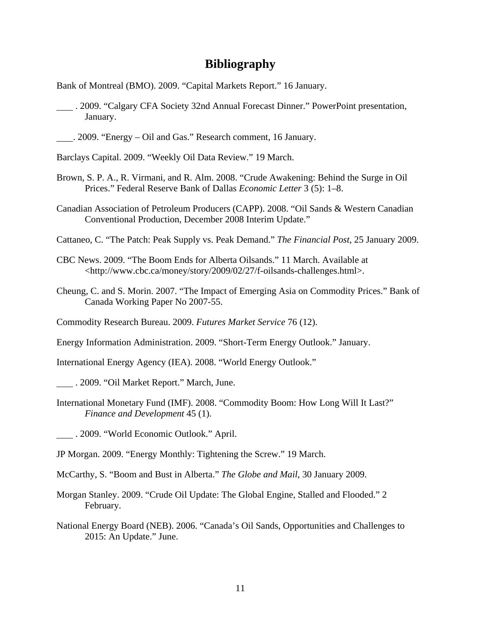#### **Bibliography**

Bank of Montreal (BMO). 2009. "Capital Markets Report." 16 January.

- . 2009. "Calgary CFA Society 32nd Annual Forecast Dinner." PowerPoint presentation, January.
- . 2009. "Energy Oil and Gas." Research comment, 16 January.

Barclays Capital. 2009. "Weekly Oil Data Review." 19 March.

- Brown, S. P. A., R. Virmani, and R. Alm. 2008. "Crude Awakening: Behind the Surge in Oil Prices." Federal Reserve Bank of Dallas *Economic Letter* 3 (5): 1–8.
- Canadian Association of Petroleum Producers (CAPP). 2008. "Oil Sands & Western Canadian Conventional Production, December 2008 Interim Update."
- Cattaneo, C. "The Patch: Peak Supply vs. Peak Demand." *The Financial Post*, 25 January 2009.
- CBC News. 2009. "The Boom Ends for Alberta Oilsands." 11 March. Available at <http://www.cbc.ca/money/story/2009/02/27/f-oilsands-challenges.html>.
- Cheung, C. and S. Morin. 2007. "The Impact of Emerging Asia on Commodity Prices." Bank of Canada Working Paper No 2007-55.

Commodity Research Bureau. 2009. *Futures Market Service* 76 (12).

Energy Information Administration. 2009. "Short-Term Energy Outlook." January.

International Energy Agency (IEA). 2008. "World Energy Outlook."

. 2009. "Oil Market Report." March, June.

International Monetary Fund (IMF). 2008. "Commodity Boom: How Long Will It Last?" *Finance and Development* 45 (1).

. 2009. "World Economic Outlook." April.

JP Morgan. 2009. "Energy Monthly: Tightening the Screw." 19 March.

McCarthy, S. "Boom and Bust in Alberta." *The Globe and Mail*, 30 January 2009.

- Morgan Stanley. 2009. "Crude Oil Update: The Global Engine, Stalled and Flooded." 2 February.
- National Energy Board (NEB). 2006. "Canada's Oil Sands, Opportunities and Challenges to 2015: An Update." June.